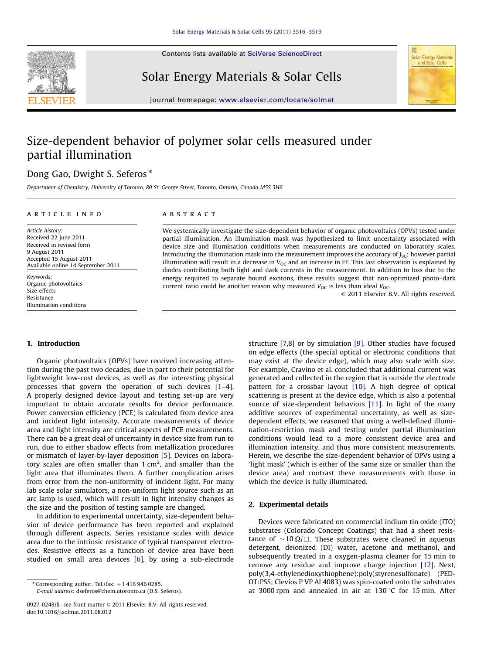

Solar Energy Materials & Solar Cells



journal homepage: <www.elsevier.com/locate/solmat>

## Size-dependent behavior of polymer solar cells measured under partial illumination

## Dong Gao, Dwight S. Seferos<sup>\*</sup>

Department of Chemistry, University of Toronto, 80 St. George Street, Toronto, Ontario, Canada M5S 3H6

#### article info

### ABSTRACT

Article history: Received 22 June 2011 Received in revised form 9 August 2011 Accepted 15 August 2011 Available online 14 September 2011

Keywords: Organic photovoltaics Size-effects Resistance Illumination conditions illumination will result in a decrease in  $V_{OC}$  and an increase in FF. This last observation is explained by diodes contributing both light and dark currents in the measurement. In addition to loss due to the energy required to separate bound excitons, these results suggest that non-optimized photo–dark current ratio could be another reason why measured  $V_{OC}$  is less than ideal  $V_{OC}$ .  $\odot$  2011 Elsevier B.V. All rights reserved.

We systemically investigate the size-dependent behavior of organic photovoltaics (OPVs) tested under partial illumination. An illumination mask was hypothesized to limit uncertainty associated with device size and illumination conditions when measurements are conducted on laboratory scales. Introducing the illumination mask into the measurement improves the accuracy of  $J<sub>SC</sub>$ ; however partial

#### 1. Introduction

Organic photovoltaics (OPVs) have received increasing attention during the past two decades, due in part to their potential for lightweight low-cost devices, as well as the interesting physical processes that govern the operation of such devices [\[1](#page--1-0)–[4\]](#page--1-0). A properly designed device layout and testing set-up are very important to obtain accurate results for device performance. Power conversion efficiency (PCE) is calculated from device area and incident light intensity. Accurate measurements of device area and light intensity are critical aspects of PCE measurements. There can be a great deal of uncertainty in device size from run to run, due to either shadow effects from metallization procedures or mismatch of layer-by-layer deposition [\[5\].](#page--1-0) Devices on laboratory scales are often smaller than 1 cm<sup>2</sup>, and smaller than the light area that illuminates them. A further complication arises from error from the non-uniformity of incident light. For many lab scale solar simulators, a non-uniform light source such as an arc lamp is used, which will result in light intensity changes as the size and the position of testing sample are changed.

In addition to experimental uncertainty, size-dependent behavior of device performance has been reported and explained through different aspects. Series resistance scales with device area due to the intrinsic resistance of typical transparent electrodes. Resistive effects as a function of device area have been studied on small area devices [\[6\],](#page--1-0) by using a sub-electrode

E-mail address: [dseferos@chem.utoronto.ca \(D.S. Seferos\)](mailto:dseferos@chem.utoronto.ca).

structure [\[7,8\]](#page--1-0) or by simulation [\[9\].](#page--1-0) Other studies have focused on edge effects (the special optical or electronic conditions that may exist at the device edge), which may also scale with size. For example, Cravino et al. concluded that additional current was generated and collected in the region that is outside the electrode pattern for a crossbar layout [\[10\].](#page--1-0) A high degree of optical scattering is present at the device edge, which is also a potential source of size-dependent behaviors [\[11\].](#page--1-0) In light of the many additive sources of experimental uncertainty, as well as sizedependent effects, we reasoned that using a well-defined illumination-restriction mask and testing under partial illumination conditions would lead to a more consistent device area and illumination intensity, and thus more consistent measurements. Herein, we describe the size-dependent behavior of OPVs using a 'light mask' (which is either of the same size or smaller than the device area) and contrast these measurements with those in which the device is fully illuminated.

#### 2. Experimental details

Devices were fabricated on commercial indium tin oxide (ITO) substrates (Colorado Concept Coatings) that had a sheet resistance of  $\sim$ 10  $\Omega/\Box$ . These substrates were cleaned in aqueous detergent, deionized (DI) water, acetone and methanol, and subsequently treated in a oxygen-plasma cleaner for 15 min to remove any residue and improve charge injection [\[12\]](#page--1-0). Next, poly(3,4-ethylenedioxythiophene):poly(styrenesulfonate) (PED-OT:PSS; Clevios P VP AI 4083) was spin-coated onto the substrates at 3000 rpm and annealed in air at  $130^{\circ}$ C for 15 min. After

 $*$  Corresponding author. Tel./fax:  $+1$  416 946 0285.

<sup>0927-0248/\$ -</sup> see front matter  $\circ$  2011 Elsevier B.V. All rights reserved. doi:[10.1016/j.solmat.2011.08.012](dx.doi.org/10.1016/j.solmat.2011.08.012)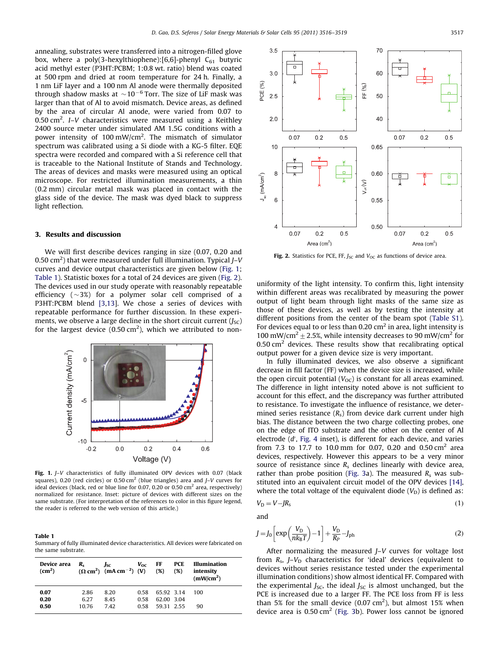annealing, substrates were transferred into a nitrogen-filled glove box, where a poly(3-hexylthiophene):[6,6]-phenyl  $C_{61}$  butyric acid methyl ester (P3HT:PCBM; 1:0.8 wt. ratio) blend was coated at 500 rpm and dried at room temperature for 24 h. Finally, a 1 nm LiF layer and a 100 nm Al anode were thermally deposited through shadow masks at  $\sim$ 10 $^{-6}$  Torr. The size of LiF mask was larger than that of Al to avoid mismatch. Device areas, as defined by the area of circular Al anode, were varied from 0.07 to 0.50 cm<sup>2</sup>. I–V characteristics were measured using a Keithley 2400 source meter under simulated AM 1.5G conditions with a power intensity of 100 mW/cm<sup>2</sup>. The mismatch of simulator spectrum was calibrated using a Si diode with a KG-5 filter. EQE spectra were recorded and compared with a Si reference cell that is traceable to the National Institute of Stands and Technology. The areas of devices and masks were measured using an optical microscope. For restricted illumination measurements, a thin (0.2 mm) circular metal mask was placed in contact with the glass side of the device. The mask was dyed black to suppress light reflection.

#### 3. Results and discussion

We will first describe devices ranging in size (0.07, 0.20 and 0.50 cm<sup>2</sup>) that were measured under full illumination. Typical  $J-V$ curves and device output characteristics are given below (Fig. 1; Table 1). Statistic boxes for a total of 24 devices are given (Fig. 2). The devices used in our study operate with reasonably repeatable efficiency  $(\sim\!3\%)$  for a polymer solar cell comprised of a P3HT:PCBM blend [\[3,13](#page--1-0)]. We chose a series of devices with repeatable performance for further discussion. In these experiments, we observe a large decline in the short circuit current  $(J<sub>SC</sub>)$ for the largest device  $(0.50 \text{ cm}^2)$ , which we attributed to non-



Fig. 1. J-V characteristics of fully illuminated OPV devices with 0.07 (black squares), 0.20 (red circles) or 0.50 cm<sup>2</sup> (blue triangles) area and  $I-V$  curves for ideal devices (black, red or blue line for 0.07, 0.20 or 0.50 cm<sup>2</sup> area, respectively) normalized for resistance. Inset: picture of devices with different sizes on the same substrate. (For interpretation of the references to color in this figure legend, the reader is referred to the web version of this article.)

Table 1

Summary of fully illuminated device characteristics. All devices were fabricated on the same substrate.

| Device area<br>(cm <sup>2</sup> ) | $R_{\rm c}$           | Jsc<br>$(\Omega \text{ cm}^2)$ (mA cm <sup>-2</sup> ) (V) | $V_{OC}$             | FF<br>(%)                              | <b>PCE</b><br>(%) | <b>Illumination</b><br>intensity<br>(mW/cm <sup>2</sup> ) |
|-----------------------------------|-----------------------|-----------------------------------------------------------|----------------------|----------------------------------------|-------------------|-----------------------------------------------------------|
| 0.07<br>0.20<br>0.50              | 2.86<br>6.27<br>10.76 | 8.20<br>8.45<br>742                                       | 0.58<br>0.58<br>0.58 | 65.92 3.14<br>62.00 3.04<br>59 31 2 55 |                   | 100<br>90                                                 |



Fig. 2. Statistics for PCE, FF,  $J<sub>SC</sub>$  and  $V<sub>OC</sub>$  as functions of device area.

uniformity of the light intensity. To confirm this, light intensity within different areas was recalibrated by measuring the power output of light beam through light masks of the same size as those of these devices, as well as by testing the intensity at different positions from the center of the beam spot ([Table S1\)](#page--1-0). For devices equal to or less than 0.20  $\text{cm}^2$  in area, light intensity is 100 mW/cm<sup>2</sup>  $\pm$  2.5%, while intensity decreases to 90 mW/cm<sup>2</sup> for  $0.50$  cm<sup>2</sup> devices. These results show that recalibrating optical output power for a given device size is very important.

In fully illuminated devices, we also observe a significant decrease in fill factor (FF) when the device size is increased, while the open circuit potential  $(V_{OC})$  is constant for all areas examined. The difference in light intensity noted above is not sufficient to account for this effect, and the discrepancy was further attributed to resistance. To investigate the influence of resistance, we determined series resistance  $(R_s)$  from device dark current under high bias. The distance between the two charge collecting probes, one on the edge of ITO substrate and the other on the center of Al electrode (d', [Fig. 4](#page--1-0) inset), is different for each device, and varies from 7.3 to 17.7 to 10.0 mm for 0.07, 0.20 and 0.50 cm<sup>2</sup> area devices, respectively. However this appears to be a very minor source of resistance since  $R_s$  declines linearly with device area, rather than probe position [\(Fig. 3](#page--1-0)a). The measured  $R_s$  was substituted into an equivalent circuit model of the OPV devices [\[14\],](#page--1-0) where the total voltage of the equivalent diode  $(V_D)$  is defined as:

$$
V_{\rm D} = V - J R_{\rm s} \tag{1}
$$

and

$$
J = J_0 \left[ \exp\left(\frac{V_D}{nk_B T}\right) - 1 \right] + \frac{V_D}{R_P} - J_{ph} \tag{2}
$$

After normalizing the measured J–V curves for voltage lost from  $R_s$ ,  $J-V_D$  characteristics for 'ideal' devices (equivalent to devices without series resistance tested under the experimental illumination conditions) show almost identical FF. Compared with the experimental  $J_{SC}$ , the ideal  $J_{SC}$  is almost unchanged, but the PCE is increased due to a larger FF. The PCE loss from FF is less than 5% for the small device  $(0.07 \text{ cm}^2)$ , but almost 15% when device area is  $0.50 \text{ cm}^2$  ([Fig. 3](#page--1-0)b). Power loss cannot be ignored